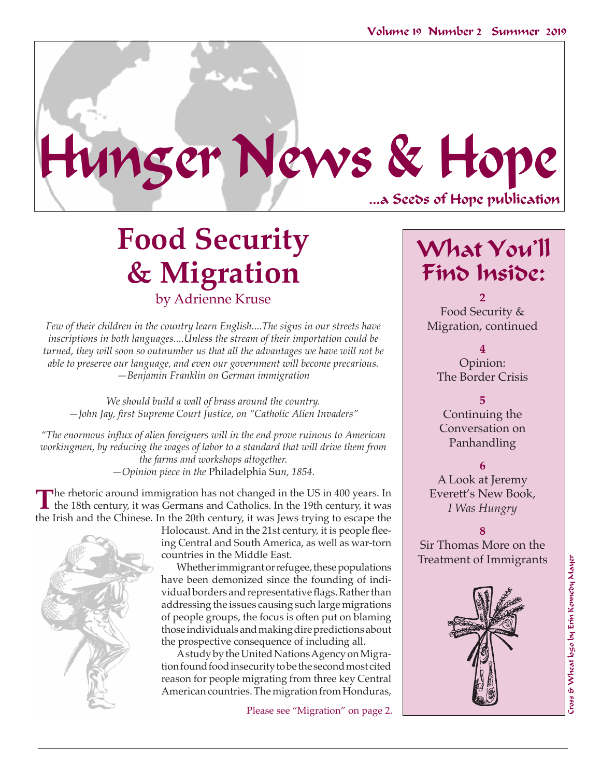...a Seeds of Hope publication Hunger News & Hope

# **Food Security & Migration** by Adrienne Kruse

*Few of their children in the country learn English....The signs in our streets have inscriptions in both languages....Unless the stream of their importation could be turned, they will soon so outnumber us that all the advantages we have will not be able to preserve our language, and even our government will become precarious. —Benjamin Franklin on German immigration*

*We should build a wall of brass around the country. —John Jay, first Supreme Court Justice, on "Catholic Alien Invaders"*

*"The enormous influx of alien foreigners will in the end prove ruinous to American workingmen, by reducing the wages of labor to a standard that will drive them from the farms and workshops altogether. —Opinion piece in the* Philadelphia Su*n, 1854.*

The rhetoric around immigration has not changed in the US in 400 years. In the 18th century, it was Germans and Catholics. In the 19th century, it was the Irish and the Chinese. In the 20th century, it was Jews trying to escape the



Holocaust. And in the 21st century, it is people fleeing Central and South America, as well as war-torn countries in the Middle East.

Whether immigrant or refugee, these populations have been demonized since the founding of individual borders and representative flags. Rather than addressing the issues causing such large migrations of people groups, the focus is often put on blaming those individuals and making dire predictions about the prospective consequence of including all.

A study by the United Nations Agency on Migration found food insecurity to be the second most cited reason for people migrating from three key Central American countries. The migration from Honduras,

Please see "Migration" on page 2.

## What You'll Find Inside:

**2** Food Security & Migration, continued

**4**  Opinion: The Border Crisis

**5** Continuing the Conversation on Panhandling

**6**

A Look at Jeremy Everett's New Book, *I Was Hungry*

**8** Sir Thomas More on the Treatment of Immigrants

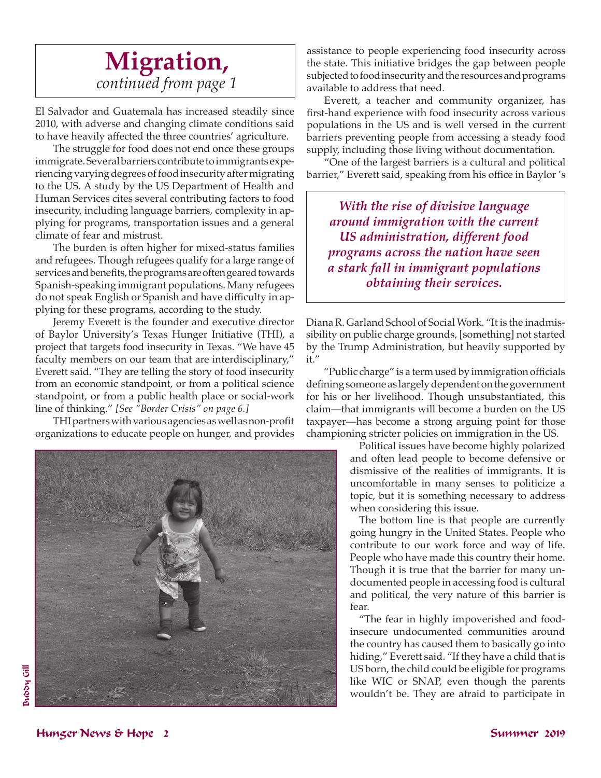### **Migration,**  *continued from page 1*

El Salvador and Guatemala has increased steadily since 2010, with adverse and changing climate conditions said to have heavily affected the three countries' agriculture.

The struggle for food does not end once these groups immigrate. Several barriers contribute to immigrants experiencing varying degrees of food insecurity after migrating to the US. A study by the US Department of Health and Human Services cites several contributing factors to food insecurity, including language barriers, complexity in applying for programs, transportation issues and a general climate of fear and mistrust.

The burden is often higher for mixed-status families and refugees. Though refugees qualify for a large range of services and benefits, the programs are often geared towards Spanish-speaking immigrant populations. Many refugees do not speak English or Spanish and have difficulty in applying for these programs, according to the study.

Jeremy Everett is the founder and executive director of Baylor University's Texas Hunger Initiative (THI), a project that targets food insecurity in Texas. "We have 45 faculty members on our team that are interdisciplinary," Everett said. "They are telling the story of food insecurity from an economic standpoint, or from a political science standpoint, or from a public health place or social-work line of thinking." *[See "Border Crisis" on page 6.]*

THI partners with various agencies as well as non-profit organizations to educate people on hunger, and provides



assistance to people experiencing food insecurity across the state. This initiative bridges the gap between people subjected to food insecurity and the resources and programs available to address that need.

Everett, a teacher and community organizer, has first-hand experience with food insecurity across various populations in the US and is well versed in the current barriers preventing people from accessing a steady food supply, including those living without documentation.

"One of the largest barriers is a cultural and political barrier," Everett said, speaking from his office in Baylor 's

*With the rise of divisive language around immigration with the current US administration, different food programs across the nation have seen a stark fall in immigrant populations obtaining their services.*

Diana R. Garland School of Social Work. "It is the inadmissibility on public charge grounds, [something] not started by the Trump Administration, but heavily supported by it."

"Public charge" is a term used by immigration officials defining someone as largely dependent on the government for his or her livelihood. Though unsubstantiated, this claim—that immigrants will become a burden on the US taxpayer—has become a strong arguing point for those championing stricter policies on immigration in the US.

> Political issues have become highly polarized and often lead people to become defensive or dismissive of the realities of immigrants. It is uncomfortable in many senses to politicize a topic, but it is something necessary to address when considering this issue.

> The bottom line is that people are currently going hungry in the United States. People who contribute to our work force and way of life. People who have made this country their home. Though it is true that the barrier for many undocumented people in accessing food is cultural and political, the very nature of this barrier is fear.

> "The fear in highly impoverished and foodinsecure undocumented communities around the country has caused them to basically go into hiding," Everett said. "If they have a child that is US born, the child could be eligible for programs like WIC or SNAP, even though the parents wouldn't be. They are afraid to participate in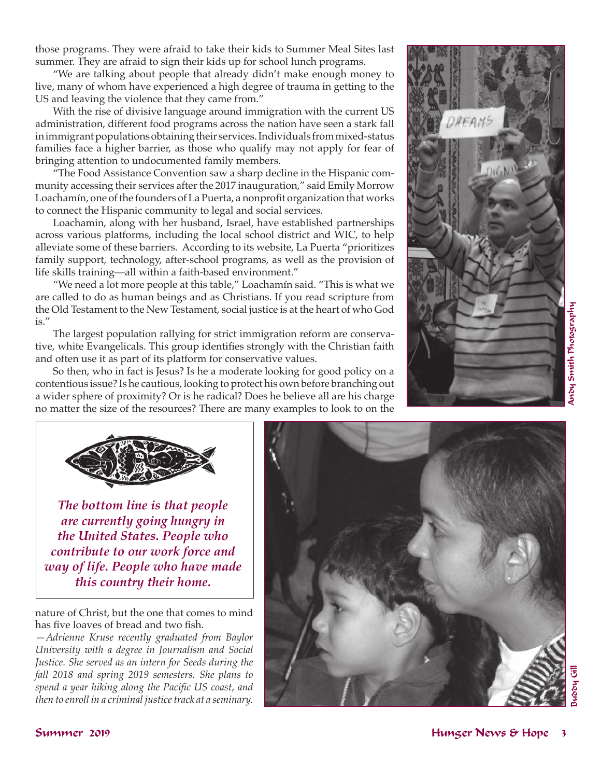those programs. They were afraid to take their kids to Summer Meal Sites last summer. They are afraid to sign their kids up for school lunch programs.

"We are talking about people that already didn't make enough money to live, many of whom have experienced a high degree of trauma in getting to the US and leaving the violence that they came from."

With the rise of divisive language around immigration with the current US administration, different food programs across the nation have seen a stark fall in immigrant populations obtaining their services. Individuals from mixed-status families face a higher barrier, as those who qualify may not apply for fear of bringing attention to undocumented family members.

"The Food Assistance Convention saw a sharp decline in the Hispanic community accessing their services after the 2017 inauguration," said Emily Morrow Loachamín, one of the founders of La Puerta, a nonprofit organization that works to connect the Hispanic community to legal and social services.

Loachamin, along with her husband, Israel, have established partnerships across various platforms, including the local school district and WIC, to help alleviate some of these barriers. According to its website, La Puerta "prioritizes family support, technology, after-school programs, as well as the provision of life skills training—all within a faith-based environment."

"We need a lot more people at this table," Loachamín said. "This is what we are called to do as human beings and as Christians. If you read scripture from the Old Testament to the New Testament, social justice is at the heart of who God is."

The largest population rallying for strict immigration reform are conservative, white Evangelicals. This group identifies strongly with the Christian faith and often use it as part of its platform for conservative values.

So then, who in fact is Jesus? Is he a moderate looking for good policy on a contentious issue? Is he cautious, looking to protect his own before branching out a wider sphere of proximity? Or is he radical? Does he believe all are his charge no matter the size of the resources? There are many examples to look to on the





*The bottom line is that people are currently going hungry in the United States. People who contribute to our work force and way of life. People who have made this country their home.* 

nature of Christ, but the one that comes to mind has five loaves of bread and two fish.

*—Adrienne Kruse recently graduated from Baylor University with a degree in Journalism and Social Justice. She served as an intern for Seeds during the fall 2018 and spring 2019 semesters. She plans to spend a year hiking along the Pacific US coast, and then to enroll in a criminal justice track at a seminary.* 

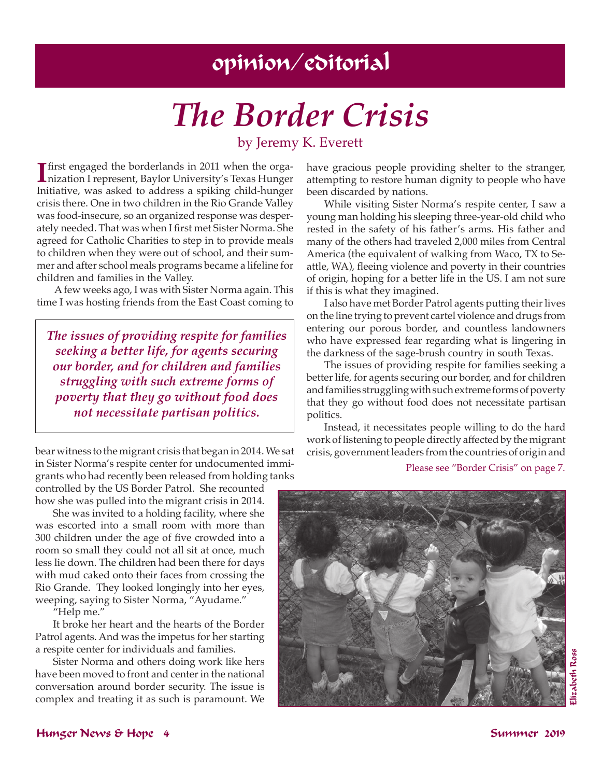## opinion/editorial

# *The Border Crisis*

### by Jeremy K. Everett

**I** first engaged the borderlands in 2011 when the organization I represent, Baylor University's Texas Hunger first engaged the borderlands in 2011 when the orga-Initiative, was asked to address a spiking child-hunger crisis there. One in two children in the Rio Grande Valley was food-insecure, so an organized response was desperately needed. That was when I first met Sister Norma. She agreed for Catholic Charities to step in to provide meals to children when they were out of school, and their summer and after school meals programs became a lifeline for children and families in the Valley.

A few weeks ago, I was with Sister Norma again. This time I was hosting friends from the East Coast coming to

*The issues of providing respite for families seeking a better life, for agents securing our border, and for children and families struggling with such extreme forms of poverty that they go without food does not necessitate partisan politics.* 

bear witness to the migrant crisis that began in 2014. We sat in Sister Norma's respite center for undocumented immigrants who had recently been released from holding tanks

controlled by the US Border Patrol. She recounted how she was pulled into the migrant crisis in 2014.

She was invited to a holding facility, where she was escorted into a small room with more than 300 children under the age of five crowded into a room so small they could not all sit at once, much less lie down. The children had been there for days with mud caked onto their faces from crossing the Rio Grande. They looked longingly into her eyes, weeping, saying to Sister Norma, "Ayudame."

"Help me."

It broke her heart and the hearts of the Border Patrol agents. And was the impetus for her starting a respite center for individuals and families.

Sister Norma and others doing work like hers have been moved to front and center in the national conversation around border security. The issue is complex and treating it as such is paramount. We have gracious people providing shelter to the stranger, attempting to restore human dignity to people who have been discarded by nations.

While visiting Sister Norma's respite center, I saw a young man holding his sleeping three-year-old child who rested in the safety of his father's arms. His father and many of the others had traveled 2,000 miles from Central America (the equivalent of walking from Waco, TX to Seattle, WA), fleeing violence and poverty in their countries of origin, hoping for a better life in the US. I am not sure if this is what they imagined.

I also have met Border Patrol agents putting their lives on the line trying to prevent cartel violence and drugs from entering our porous border, and countless landowners who have expressed fear regarding what is lingering in the darkness of the sage-brush country in south Texas.

The issues of providing respite for families seeking a better life, for agents securing our border, and for children and families struggling with such extreme forms of poverty that they go without food does not necessitate partisan politics.

Instead, it necessitates people willing to do the hard work of listening to people directly affected by the migrant crisis, government leaders from the countries of origin and

Please see "Border Crisis" on page 7.

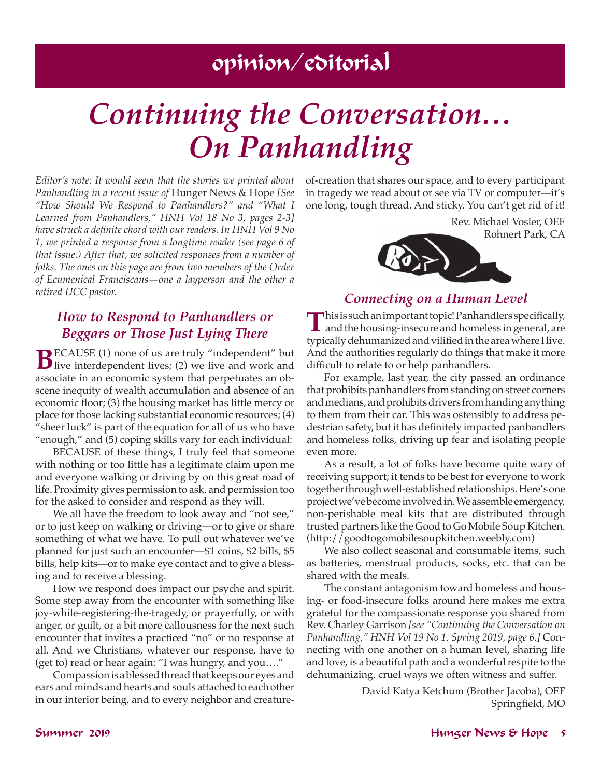## opinion/editorial

# *Continuing the Conversation… On Panhandling*

*Editor's note: It would seem that the stories we printed about Panhandling in a recent issue of* Hunger News & Hope *[See "How Should We Respond to Panhandlers?" and "What I Learned from Panhandlers," HNH Vol 18 No 3, pages 2-3] have struck a definite chord with our readers. In HNH Vol 9 No 1, we printed a response from a longtime reader (see page 6 of that issue.) After that, we solicited responses from a number of folks. The ones on this page are from two members of the Order of Ecumenical Franciscans—one a layperson and the other a retired UCC pastor.* 

### *How to Respond to Panhandlers or Beggars or Those Just Lying There*

**B**ECAUSE (1) none of us are truly "independent" but live <u>interdependent</u> lives; (2) we live and work and associate in an economic system that perpetuates an obscene inequity of wealth accumulation and absence of an economic floor; (3) the housing market has little mercy or place for those lacking substantial economic resources; (4) "sheer luck" is part of the equation for all of us who have "enough," and (5) coping skills vary for each individual:

BECAUSE of these things, I truly feel that someone with nothing or too little has a legitimate claim upon me and everyone walking or driving by on this great road of life. Proximity gives permission to ask, and permission too for the asked to consider and respond as they will.

We all have the freedom to look away and "not see," or to just keep on walking or driving—or to give or share something of what we have. To pull out whatever we've planned for just such an encounter—\$1 coins, \$2 bills, \$5 bills, help kits—or to make eye contact and to give a blessing and to receive a blessing.

How we respond does impact our psyche and spirit. Some step away from the encounter with something like joy-while-registering-the-tragedy, or prayerfully, or with anger, or guilt, or a bit more callousness for the next such encounter that invites a practiced "no" or no response at all. And we Christians, whatever our response, have to (get to) read or hear again: "I was hungry, and you…."

Compassion is a blessed thread that keeps our eyes and ears and minds and hearts and souls attached to each other in our interior being, and to every neighbor and creatureof-creation that shares our space, and to every participant in tragedy we read about or see via TV or computer—it's one long, tough thread. And sticky. You can't get rid of it!

> Rev. Michael Vosler, OEF Rohnert Park, CA



### *Connecting on a Human Level*

This is such an important topic! Panhandlers specifically, **L** and the housing-insecure and homeless in general, are typically dehumanized and vilified in the area where I live. And the authorities regularly do things that make it more difficult to relate to or help panhandlers.

For example, last year, the city passed an ordinance that prohibits panhandlers from standing on street corners and medians, and prohibits drivers from handing anything to them from their car. This was ostensibly to address pedestrian safety, but it has definitely impacted panhandlers and homeless folks, driving up fear and isolating people even more.

As a result, a lot of folks have become quite wary of receiving support; it tends to be best for everyone to work together through well-established relationships. Here's one project we've become involved in. We assemble emergency, non-perishable meal kits that are distributed through trusted partners like the Good to Go Mobile Soup Kitchen. (http://goodtogomobilesoupkitchen.weebly.com)

We also collect seasonal and consumable items, such as batteries, menstrual products, socks, etc. that can be shared with the meals.

The constant antagonism toward homeless and housing- or food-insecure folks around here makes me extra grateful for the compassionate response you shared from Rev. Charley Garrison *[see "Continuing the Conversation on Panhandling," HNH Vol 19 No 1, Spring 2019, page 6.]* Connecting with one another on a human level, sharing life and love, is a beautiful path and a wonderful respite to the dehumanizing, cruel ways we often witness and suffer.

> David Katya Ketchum (Brother Jacoba), OEF Springfield, MO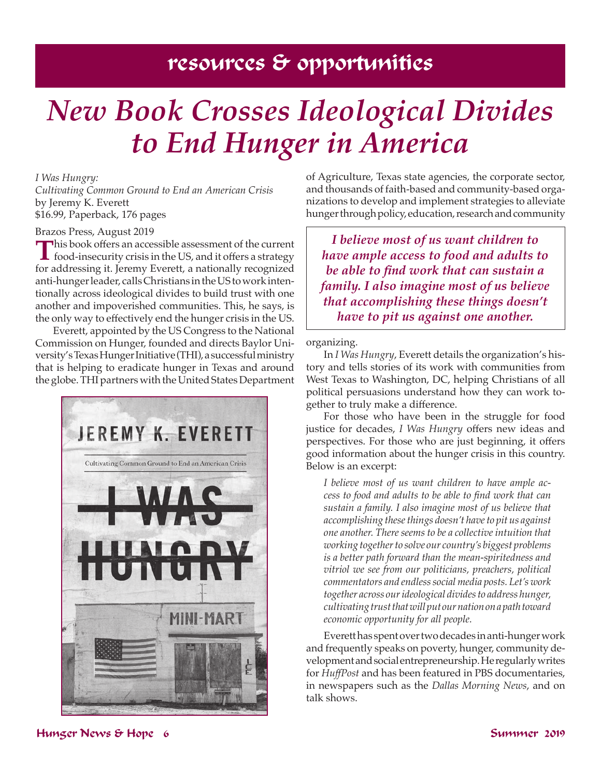### resources & opportunities

# *New Book Crosses Ideological Divides to End Hunger in America*

#### *I Was Hungry:*

*Cultivating Common Ground to End an American Crisis*  by Jeremy K. Everett \$16.99, Paperback, 176 pages

#### Brazos Press, August 2019

**T**his book offers an accessible assessment of the current food-insecurity crisis in the US, and it offers a strategy for addressing it. Jeremy Everett, a nationally recognized anti-hunger leader, calls Christians in the US to work intentionally across ideological divides to build trust with one another and impoverished communities. This, he says, is the only way to effectively end the hunger crisis in the US.

Everett, appointed by the US Congress to the National Commission on Hunger, founded and directs Baylor University's Texas Hunger Initiative (THI), a successful ministry that is helping to eradicate hunger in Texas and around the globe. THI partners with the United States Department



of Agriculture, Texas state agencies, the corporate sector, and thousands of faith-based and community-based organizations to develop and implement strategies to alleviate hunger through policy, education, research and community

*I believe most of us want children to have ample access to food and adults to be able to find work that can sustain a family. I also imagine most of us believe that accomplishing these things doesn't have to pit us against one another.*

organizing.

In *I Was Hungry*, Everett details the organization's history and tells stories of its work with communities from West Texas to Washington, DC, helping Christians of all political persuasions understand how they can work together to truly make a difference.

For those who have been in the struggle for food justice for decades, *I Was Hungry* offers new ideas and perspectives. For those who are just beginning, it offers good information about the hunger crisis in this country. Below is an excerpt:

*I believe most of us want children to have ample access to food and adults to be able to find work that can sustain a family. I also imagine most of us believe that accomplishing these things doesn't have to pit us against one another. There seems to be a collective intuition that working together to solve our country's biggest problems is a better path forward than the mean-spiritedness and vitriol we see from our politicians, preachers, political commentators and endless social media posts. Let's work together across our ideological divides to address hunger, cultivating trust that will put our nation on a path toward economic opportunity for all people.*

Everett has spent over two decades in anti-hunger work and frequently speaks on poverty, hunger, community development and social entrepreneurship. He regularly writes for *HuffPost* and has been featured in PBS documentaries, in newspapers such as the *Dallas Morning News*, and on talk shows.

#### Hunger News & Hope 6 Summer 2019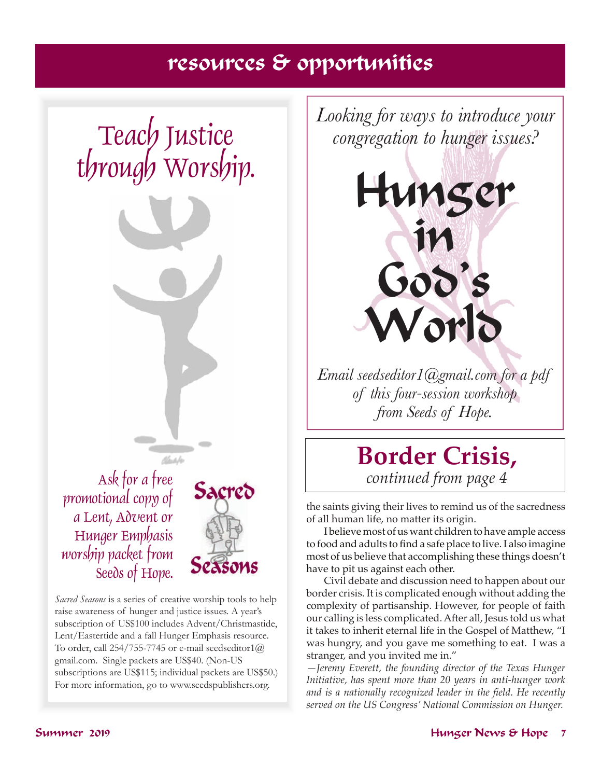## resources & opportunities

# Teach Justice through Worship.



promotional copy of a Lent, Advent or Hunger Emphasis worship packet from Seeds of Hope.

*Sacred Seasons* is a series of creative worship tools to help raise awareness of hunger and justice issues. A year's subscription of US\$100 includes Advent/Christmastide, Lent/Eastertide and a fall Hunger Emphasis resource. To order, call 254/755-7745 or e-mail seedseditor1 $@$ gmail.com. Single packets are US\$40. (Non-US subscriptions are US\$115; individual packets are US\$50.) For more information, go to www.seedspublishers.org.



*Email seedseditor1@gmail.com for a pdf of this four-session workshop from Seeds of Hope.*

## **Border Crisis,**  *continued from page 4*

the saints giving their lives to remind us of the sacredness of all human life, no matter its origin.

I believe most of us want children to have ample access to food and adults to find a safe place to live. I also imagine most of us believe that accomplishing these things doesn't have to pit us against each other.

Civil debate and discussion need to happen about our border crisis. It is complicated enough without adding the complexity of partisanship. However, for people of faith our calling is less complicated. After all, Jesus told us what it takes to inherit eternal life in the Gospel of Matthew, "I was hungry, and you gave me something to eat. I was a stranger, and you invited me in."

*—Jeremy Everett, the founding director of the Texas Hunger Initiative, has spent more than 20 years in anti-hunger work and is a nationally recognized leader in the field. He recently served on the US Congress' National Commission on Hunger.*